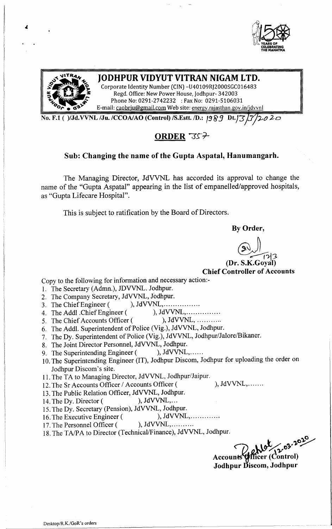



## &lit JODHPUR VIDYUT VITRAN NIGAM LTD.

Corporate Identity Number (CIN) -U40109RI2000SGC016483 **~ - r.....t!** Regd. Office: New Power House, Jodhpur- <sup>342003</sup> ~ ~ Phone No: 0291-2742232 : Fax No: 0291-5106031 E-mail: [caobrju@gmail.com](mailto:caobrju@gmail.com) Web site: energy.rajasthan.gov.in/jdvvnl

No. F.l ( )/Jd.VVNL *IJu. ICCOAIAO* (Control) *IS.Estt.ID.:* /9 *F53 Dt.J-:3 'JJ~tJ:?o*

## ORDER *=ss»*

### Sub: Changing the name of the Gupta Aspatal, Hanumangarh.

The Managing Director, JdVVNL has accorded its approval to change the name of the "Gupta Aspatal" appearing in the list of empanelled/approved hospitals, as "Gupta Lifecare Hospital".

This is subject to ratification by the Board of Directors.

By Order,

 $\bigoplus$ 

(Dr. S.K.Goyal) Chief Controller of Accounts

Copy to the following for information and necessary action:-

- 1. The Secretary (Admn.), JDVVNL. Jodhpur.
- 2. The Company Secretary, JdVVNL, Jodhpur.
- 3. The Chief Engineer ( ), JdVVNL, .
- 4. The Addl .Chief Engineer (), JdVVNL, ... ... ... ...
- 5. The Chief Accounts Officer ( ), JdVVNL, ...........
- 6. The Addl. Superintendent of Police (Vig.), JdVVNL, Jodhpur.
- 7. The Dy. Superintendent of Police (Vig.), JdVVNL, Jodhpur/Jalore/Bikaner.
- 8. The Joint Director Personnel, JdVVNL, Jodhpur.
- 9. The Superintending Engineer ( ), JdVVNL,......
- 10.The Superintending Engineer (IT), Jodhpur Discom, Jodhpur for uploading the order on Jodhpur Discom's site.
- 11.The TA to Managing Director, JdVVNL, Jodhpur/Jaipur.
- 12. The Sr Accounts Officer / Accounts Officer ( ), JdVVNL,.......
- 13.The Public Relation Officer, JdVVNL, Jodhpur.
- 14. The Dy. Director ( ), JdVVNL,...
- 15.The Dy. Secretary (Pension), JdVVNL, Jodhpur.
- 16. The Executive Engineer ( ), JdVVNL,..............
- 17. The Personnel Officer ( ), JdVVNL, ... ... ...
- 18.The *TAlPA* to Director (Technical/Finance), JdVVNL, Jodhpur.

*«:* Account Jodhpur Discom, Jodhpı  $\mathcal{C}^{\mathcal{C}}$  $\sim$   $\sim$ icer (Control)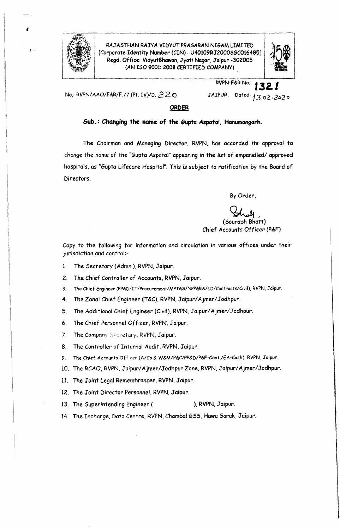

1-

RAJASTHAN RAJYA VIDYUT PRASARAN NIGAM LIMITED [Corporate Identity Number (CIN) : U40109RJ2000SGC016485] Regd. Office: VidyutBhawan,Jyoti Nagar, Jaipur -302005 (AN ISO 9001: 2008 CERTIFIED COMPANY)



No.: RVPN/AAO/F&R/F.77 (Pt. *IV)/D. 220*

# RVPN-F&RNo.: **1.32.** *t* JAIPUR, Dated: **13.02.2020**

### **ORDER**

### **Sub.: Changing the name of the Gupta Aspatal, Hanumangarh.**

The Chairman and Managing Director, RVPN, has accorded *its* approval to change the name of the "Gupta Aspatal" appearing in the list of empanelled/ approved hospitals, as "Gupta Lifecare Hospital". This is subject to ratification by the Board of Directors.

By Order,

(Sourabh Bhatt) Chief Accounts Officer (P&F)

Copy to the following for information and circulation in various offices under their jurisdiction and control:-

- 1. The Secretary (Admn.), RVPN,Jaipur.
- 2. The *Chief* Controller of Accounts, RVPN,Jaipur.
- 3. The Chief Engineer (PP&D/IT/Procurement/MPT&S/NPP&RA/LD/Contracts/Civil), RVPN, Jaipur.
- 4. The Zonal Chief Engineer (T&C), RVPN, Jaipur/Ajmer/Jodhpur.
- 5. The Additional Chief Engineer (Civil), RVPN, Jaipur/Ajmer/Jodhpur.
- 6. The Chief Personnel Officer, RVPN,Jaipur.
- 7. The Company Secretary, RVPN, Jaipur.
- 8. The Controller of Internal Audit, RVPN, Jaipur.
- 9. The Chief Accounts Officer' *(AiCs* & *W&M/P&C/PP&D/P&F-Cont.lEA-Cash) RVPN,* Jaipur.
- 10. The RCAO, RVPN, Jaipur/Ajmer/Jodhpur Zone, RVPN, Jaipur/Ajmer/Jodhpur.
- 11. The Joint Legal Remembrancer, RVPN, Jaipur.
- 12. The Joint Director Personnel, RVPN,Jaipur.
- 13. The Superintending Engineer (
Here is not in the Superintending Engineer (Section 2015), RVPN, Jaipur.
- 14. The Incharge, Data Centre, *RVPN,* Chambal GSS, Hawa Sarak, Jaipur.